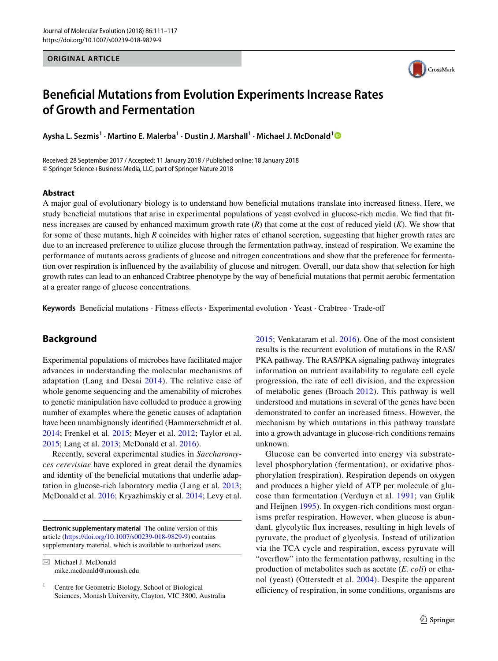#### **ORIGINAL ARTICLE**



# **Beneficial Mutations from Evolution Experiments Increase Rates of Growth and Fermentation**

**Aysha L. Sezmis<sup>1</sup> · Martino E. Malerba1 · Dustin J. Marshall1 · Michael J. McDonald[1](http://orcid.org/0000-0002-5735-960X)**

Received: 28 September 2017 / Accepted: 11 January 2018 / Published online: 18 January 2018 © Springer Science+Business Media, LLC, part of Springer Nature 2018

#### **Abstract**

A major goal of evolutionary biology is to understand how beneficial mutations translate into increased fitness. Here, we study beneficial mutations that arise in experimental populations of yeast evolved in glucose-rich media. We find that fitness increases are caused by enhanced maximum growth rate (*R*) that come at the cost of reduced yield (*K*). We show that for some of these mutants, high *R* coincides with higher rates of ethanol secretion, suggesting that higher growth rates are due to an increased preference to utilize glucose through the fermentation pathway, instead of respiration. We examine the performance of mutants across gradients of glucose and nitrogen concentrations and show that the preference for fermentation over respiration is influenced by the availability of glucose and nitrogen. Overall, our data show that selection for high growth rates can lead to an enhanced Crabtree phenotype by the way of beneficial mutations that permit aerobic fermentation at a greater range of glucose concentrations.

**Keywords** Beneficial mutations · Fitness effects · Experimental evolution · Yeast · Crabtree · Trade-off

# **Background**

Experimental populations of microbes have facilitated major advances in understanding the molecular mechanisms of adaptation (Lang and Desai [2014](#page-6-0)). The relative ease of whole genome sequencing and the amenability of microbes to genetic manipulation have colluded to produce a growing number of examples where the genetic causes of adaptation have been unambiguously identified (Hammerschmidt et al. [2014;](#page-6-1) Frenkel et al. [2015](#page-6-2); Meyer et al. [2012;](#page-6-3) Taylor et al. [2015](#page-6-4); Lang et al. [2013;](#page-6-5) McDonald et al. [2016\)](#page-6-6).

Recently, several experimental studies in *Saccharomyces cerevisiae* have explored in great detail the dynamics and identity of the beneficial mutations that underlie adaptation in glucose-rich laboratory media (Lang et al. [2013](#page-6-5); McDonald et al. [2016](#page-6-6); Kryazhimskiy et al. [2014](#page-6-7); Levy et al.

**Electronic supplementary material** The online version of this article [\(https://doi.org/10.1007/s00239-018-9829-9\)](https://doi.org/10.1007/s00239-018-9829-9) contains supplementary material, which is available to authorized users.

 $\boxtimes$  Michael J. McDonald mike.mcdonald@monash.edu [2015](#page-6-8); Venkataram et al. [2016\)](#page-6-9). One of the most consistent results is the recurrent evolution of mutations in the RAS/ PKA pathway. The RAS/PKA signaling pathway integrates information on nutrient availability to regulate cell cycle progression, the rate of cell division, and the expression of metabolic genes (Broach [2012\)](#page-6-10). This pathway is well understood and mutations in several of the genes have been demonstrated to confer an increased fitness. However, the mechanism by which mutations in this pathway translate into a growth advantage in glucose-rich conditions remains unknown.

Glucose can be converted into energy via substratelevel phosphorylation (fermentation), or oxidative phosphorylation (respiration). Respiration depends on oxygen and produces a higher yield of ATP per molecule of glucose than fermentation (Verduyn et al. [1991;](#page-6-11) van Gulik and Heijnen [1995\)](#page-6-12). In oxygen-rich conditions most organisms prefer respiration. However, when glucose is abundant, glycolytic flux increases, resulting in high levels of pyruvate, the product of glycolysis. Instead of utilization via the TCA cycle and respiration, excess pyruvate will "overflow" into the fermentation pathway, resulting in the production of metabolites such as acetate (*E. coli*) or ethanol (yeast) (Otterstedt et al. [2004\)](#page-6-13). Despite the apparent efficiency of respiration, in some conditions, organisms are

<sup>&</sup>lt;sup>1</sup> Centre for Geometric Biology, School of Biological Sciences, Monash University, Clayton, VIC 3800, Australia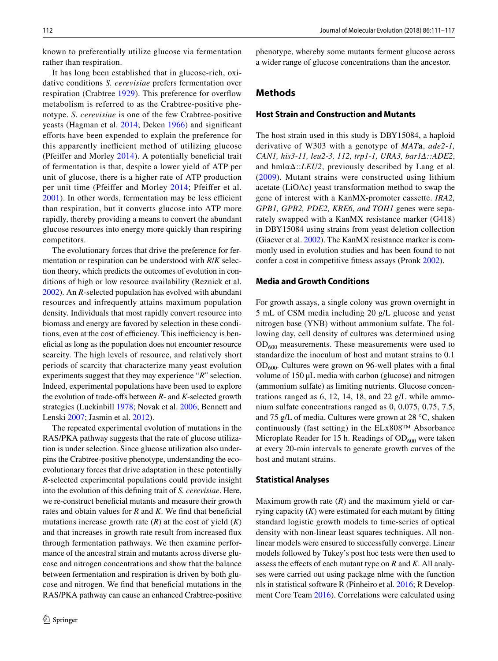known to preferentially utilize glucose via fermentation rather than respiration.

It has long been established that in glucose-rich, oxidative conditions *S. cerevisiae* prefers fermentation over respiration (Crabtree [1929\)](#page-6-14). This preference for overflow metabolism is referred to as the Crabtree-positive phenotype. *S. cerevisiae* is one of the few Crabtree-positive yeasts (Hagman et al. [2014;](#page-6-15) Deken [1966](#page-6-16)) and significant efforts have been expended to explain the preference for this apparently inefficient method of utilizing glucose (Pfeiffer and Morley [2014\)](#page-6-17). A potentially beneficial trait of fermentation is that, despite a lower yield of ATP per unit of glucose, there is a higher rate of ATP production per unit time (Pfeiffer and Morley [2014](#page-6-17); Pfeiffer et al. [2001\)](#page-6-18). In other words, fermentation may be less efficient than respiration, but it converts glucose into ATP more rapidly, thereby providing a means to convert the abundant glucose resources into energy more quickly than respiring competitors.

The evolutionary forces that drive the preference for fermentation or respiration can be understood with *R*/*K* selection theory, which predicts the outcomes of evolution in conditions of high or low resource availability (Reznick et al. [2002](#page-6-19)). An *R*-selected population has evolved with abundant resources and infrequently attains maximum population density. Individuals that most rapidly convert resource into biomass and energy are favored by selection in these conditions, even at the cost of efficiency. This inefficiency is beneficial as long as the population does not encounter resource scarcity. The high levels of resource, and relatively short periods of scarcity that characterize many yeast evolution experiments suggest that they may experience "*R*" selection. Indeed, experimental populations have been used to explore the evolution of trade-offs between *R*- and *K*-selected growth strategies (Luckinbill [1978](#page-6-20); Novak et al. [2006;](#page-6-21) Bennett and Lenski [2007](#page-6-22); Jasmin et al. [2012\)](#page-6-23).

The repeated experimental evolution of mutations in the RAS/PKA pathway suggests that the rate of glucose utilization is under selection. Since glucose utilization also underpins the Crabtree-positive phenotype, understanding the ecoevolutionary forces that drive adaptation in these potentially *R*-selected experimental populations could provide insight into the evolution of this defining trait of *S. cerevisiae*. Here, we re-construct beneficial mutants and measure their growth rates and obtain values for *R* and *K*. We find that beneficial mutations increase growth rate  $(R)$  at the cost of yield  $(K)$ and that increases in growth rate result from increased flux through fermentation pathways. We then examine performance of the ancestral strain and mutants across diverse glucose and nitrogen concentrations and show that the balance between fermentation and respiration is driven by both glucose and nitrogen. We find that beneficial mutations in the RAS/PKA pathway can cause an enhanced Crabtree-positive phenotype, whereby some mutants ferment glucose across a wider range of glucose concentrations than the ancestor.

## <span id="page-1-0"></span>**Methods**

#### **Host Strain and Construction and Mutants**

The host strain used in this study is DBY15084, a haploid derivative of W303 with a genotype of *MAT***a**, *ade2-1, CAN1, his3-11, leu2-3, 112, trp1-1, URA3, bar1Δ::ADE2*, and  $hml\alpha\Delta$ ::*LEU2*, previously described by Lang et al. ([2009](#page-6-24)). Mutant strains were constructed using lithium acetate (LiOAc) yeast transformation method to swap the gene of interest with a KanMX-promoter cassette. *IRA2, GPB1, GPB2, PDE2, KRE6, and TOH1* genes were separately swapped with a KanMX resistance marker (G418) in DBY15084 using strains from yeast deletion collection (Giaever et al. [2002](#page-6-25)). The KanMX resistance marker is commonly used in evolution studies and has been found to not confer a cost in competitive fitness assays (Pronk [2002](#page-6-26)).

#### **Media and Growth Conditions**

For growth assays, a single colony was grown overnight in 5 mL of CSM media including 20 g/L glucose and yeast nitrogen base (YNB) without ammonium sulfate. The following day, cell density of cultures was determined using  $OD<sub>600</sub>$  measurements. These measurements were used to standardize the inoculum of host and mutant strains to 0.1  $OD<sub>600</sub>$ . Cultures were grown on 96-well plates with a final volume of 150 µL media with carbon (glucose) and nitrogen (ammonium sulfate) as limiting nutrients. Glucose concentrations ranged as 6, 12, 14, 18, and 22 g/L while ammonium sulfate concentrations ranged as 0, 0.075, 0.75, 7.5, and 75 g/L of media. Cultures were grown at 28 °C, shaken continuously (fast setting) in the ELx808™ Absorbance Microplate Reader for 15 h. Readings of  $OD<sub>600</sub>$  were taken at every 20-min intervals to generate growth curves of the host and mutant strains.

#### **Statistical Analyses**

Maximum growth rate  $(R)$  and the maximum yield or carrying capacity (*K*) were estimated for each mutant by fitting standard logistic growth models to time-series of optical density with non-linear least squares techniques. All nonlinear models were ensured to successfully converge. Linear models followed by Tukey's post hoc tests were then used to assess the effects of each mutant type on *R* and *K*. All analyses were carried out using package nlme with the function nls in statistical software R (Pinheiro et al. [2016](#page-6-27); R Development Core Team [2016](#page-6-28)). Correlations were calculated using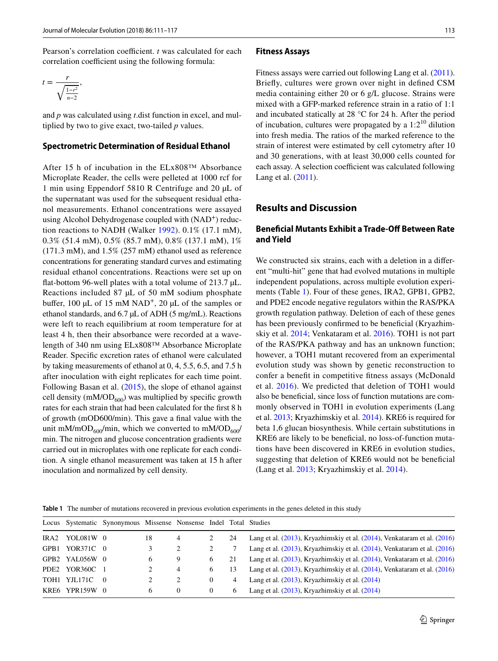Pearson's correlation coefficient. *t* was calculated for each correlation coefficient using the following formula:

$$
t = \frac{r}{\sqrt{\frac{1-r^2}{n-2}}},
$$

and *p* was calculated using *t*.dist function in excel, and multiplied by two to give exact, two-tailed *p* values.

#### **Spectrometric Determination of Residual Ethanol**

After 15 h of incubation in the ELx808™ Absorbance Microplate Reader, the cells were pelleted at 1000 rcf for 1 min using Eppendorf 5810 R Centrifuge and 20 µL of the supernatant was used for the subsequent residual ethanol measurements. Ethanol concentrations were assayed using Alcohol Dehydrogenase coupled with  $(NAD<sup>+</sup>)$  reduction reactions to NADH (Walker [1992\)](#page-6-29). 0.1% (17.1 mM), 0.3% (51.4 mM), 0.5% (85.7 mM), 0.8% (137.1 mM), 1% (171.3 mM), and 1.5% (257 mM) ethanol used as reference concentrations for generating standard curves and estimating residual ethanol concentrations. Reactions were set up on flat-bottom 96-well plates with a total volume of 213.7 µL. Reactions included 87 µL of 50 mM sodium phosphate buffer, 100  $\mu$ L of 15 mM NAD<sup>+</sup>, 20  $\mu$ L of the samples or ethanol standards, and 6.7 µL of ADH (5 mg/mL). Reactions were left to reach equilibrium at room temperature for at least 4 h, then their absorbance were recorded at a wavelength of 340 nm using ELx808™ Absorbance Microplate Reader. Specific excretion rates of ethanol were calculated by taking measurements of ethanol at 0, 4, 5.5, 6.5, and 7.5 h after inoculation with eight replicates for each time point. Following Basan et al. ([2015\)](#page-6-30), the slope of ethanol against cell density (mM/OD $_{600}$ ) was multiplied by specific growth rates for each strain that had been calculated for the first 8 h of growth (mOD600/min). This gave a final value with the unit mM/mOD<sub>600</sub>/min, which we converted to mM/OD<sub>600</sub>/ min. The nitrogen and glucose concentration gradients were carried out in microplates with one replicate for each condition. A single ethanol measurement was taken at 15 h after inoculation and normalized by cell density.

#### **Fitness Assays**

Fitness assays were carried out following Lang et al. [\(2011](#page-6-31)). Briefly, cultures were grown over night in defined CSM media containing either 20 or 6 g/L glucose. Strains were mixed with a GFP-marked reference strain in a ratio of 1:1 and incubated statically at 28 °C for 24 h. After the period of incubation, cultures were propagated by a  $1:2^{10}$  dilution into fresh media. The ratios of the marked reference to the strain of interest were estimated by cell cytometry after 10 and 30 generations, with at least 30,000 cells counted for each assay. A selection coefficient was calculated following Lang et al. ([2011\)](#page-6-31).

## **Results and Discussion**

# **Beneficial Mutants Exhibit a Trade‑Off Between Rate and Yield**

We constructed six strains, each with a deletion in a different "multi-hit" gene that had evolved mutations in multiple independent populations, across multiple evolution experiments (Table [1\)](#page-2-0). Four of these genes, IRA2, GPB1, GPB2, and PDE2 encode negative regulators within the RAS/PKA growth regulation pathway. Deletion of each of these genes has been previously confirmed to be beneficial (Kryazhimskiy et al. [2014;](#page-6-7) Venkataram et al. [2016\)](#page-6-9). TOH1 is not part of the RAS/PKA pathway and has an unknown function; however, a TOH1 mutant recovered from an experimental evolution study was shown by genetic reconstruction to confer a benefit in competitive fitness assays (McDonald et al. [2016\)](#page-6-6). We predicted that deletion of TOH1 would also be beneficial, since loss of function mutations are commonly observed in TOH1 in evolution experiments (Lang et al. [2013;](#page-6-5) Kryazhimskiy et al. [2014](#page-6-7)). KRE6 is required for beta 1,6 glucan biosynthesis. While certain substitutions in KRE6 are likely to be beneficial, no loss-of-function mutations have been discovered in KRE6 in evolution studies, suggesting that deletion of KRE6 would not be beneficial (Lang et al. [2013;](#page-6-5) Kryazhimskiy et al. [2014\)](#page-6-7).

<span id="page-2-0"></span>**Table 1** The number of mutations recovered in previous evolution experiments in the genes deleted in this study

|                | Locus Systematic Synonymous Missense Nonsense Indel Total Studies |    |   |          |                |                                                                                  |
|----------------|-------------------------------------------------------------------|----|---|----------|----------------|----------------------------------------------------------------------------------|
| IRA2 YOL081W 0 |                                                                   | 18 | 4 |          | 24             | Lang et al. $(2013)$ , Kryazhimskiy et al. $(2014)$ , Venkataram et al. $(2016)$ |
| GPB1 YOR371C 0 |                                                                   |    |   |          |                | Lang et al. $(2013)$ , Kryazhimskiy et al. $(2014)$ , Venkataram et al. $(2016)$ |
| GPB2 YAL056W 0 |                                                                   | 6  | 9 | 6        | 21             | Lang et al. $(2013)$ , Kryazhimskiy et al. $(2014)$ , Venkataram et al. $(2016)$ |
| PDE2 YOR360C 1 |                                                                   |    | 4 | 6        | 13             | Lang et al. $(2013)$ , Kryazhimskiy et al. $(2014)$ , Venkataram et al. $(2016)$ |
| TOHI YJL171C 0 |                                                                   | 2  | 2 | $\bf{0}$ | $\overline{4}$ | Lang et al. $(2013)$ , Kryazhimskiy et al. $(2014)$                              |
| KRE6 YPR159W 0 |                                                                   | 6  | 0 | $\theta$ | 6              | Lang et al. $(2013)$ , Kryazhimskiy et al. $(2014)$                              |
|                |                                                                   |    |   |          |                |                                                                                  |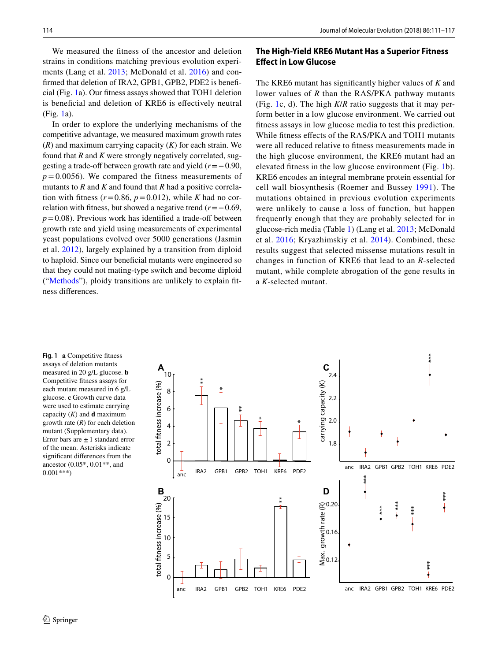We measured the fitness of the ancestor and deletion strains in conditions matching previous evolution experiments (Lang et al. [2013](#page-6-5); McDonald et al. [2016\)](#page-6-6) and confirmed that deletion of IRA2, GPB1, GPB2, PDE2 is beneficial (Fig. [1](#page-3-0)a). Our fitness assays showed that TOH1 deletion is beneficial and deletion of KRE6 is effectively neutral (Fig. [1a](#page-3-0)).

In order to explore the underlying mechanisms of the competitive advantage, we measured maximum growth rates (*R*) and maximum carrying capacity (*K*) for each strain. We found that *R* and *K* were strongly negatively correlated, suggesting a trade-off between growth rate and yield (*r*=−0.90,  $p = 0.0056$ ). We compared the fitness measurements of mutants to *R* and *K* and found that *R* had a positive correlation with fitness  $(r=0.86, p=0.012)$ , while *K* had no correlation with fitness, but showed a negative trend (*r*=−0.69,  $p=0.08$ ). Previous work has identified a trade-off between growth rate and yield using measurements of experimental yeast populations evolved over 5000 generations (Jasmin et al. [2012](#page-6-23)), largely explained by a transition from diploid to haploid. Since our beneficial mutants were engineered so that they could not mating-type switch and become diploid ("[Methods"](#page-1-0)), ploidy transitions are unlikely to explain fitness differences.

# **The High‑Yield KRE6 Mutant Has a Superior Fitness Effect in Low Glucose**

The KRE6 mutant has significantly higher values of *K* and lower values of *R* than the RAS/PKA pathway mutants (Fig. [1](#page-3-0)c, d). The high *K*/*R* ratio suggests that it may perform better in a low glucose environment. We carried out fitness assays in low glucose media to test this prediction. While fitness effects of the RAS/PKA and TOH1 mutants were all reduced relative to fitness measurements made in the high glucose environment, the KRE6 mutant had an elevated fitness in the low glucose environment (Fig. [1](#page-3-0)b). KRE6 encodes an integral membrane protein essential for cell wall biosynthesis (Roemer and Bussey [1991](#page-6-32)). The mutations obtained in previous evolution experiments were unlikely to cause a loss of function, but happen frequently enough that they are probably selected for in glucose-rich media (Table [1](#page-2-0)) (Lang et al. [2013](#page-6-5); McDonald et al. [2016](#page-6-6); Kryazhimskiy et al. [2014](#page-6-7)). Combined, these results suggest that selected missense mutations result in changes in function of KRE6 that lead to an *R*-selected mutant, while complete abrogation of the gene results in a *K*-selected mutant.

<span id="page-3-0"></span>**Fig. 1 a** Competitive fitness assays of deletion mutants measured in 20 g/L glucose. **b** Competitive fitness assays for each mutant measured in 6 g/L glucose. **c** Growth curve data were used to estimate carrying capacity (*K*) and **d** maximum growth rate (*R*) for each deletion mutant (Supplementary data). Error bars are  $\pm 1$  standard error of the mean. Asterisks indicate significant differences from the ancestor (0.05\*, 0.01\*\*, and 0.001\*\*\*)

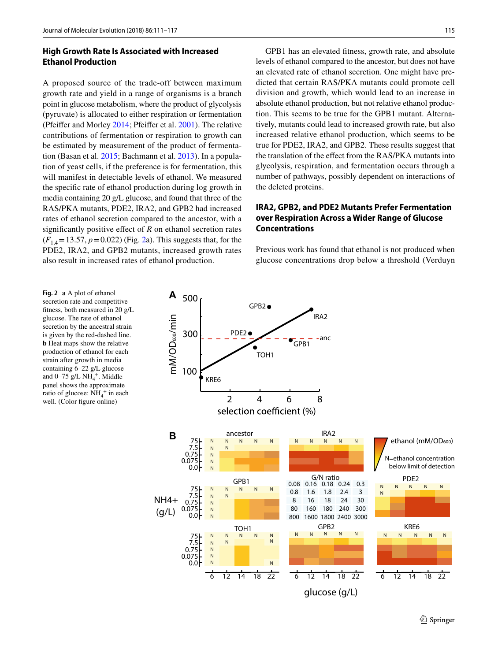## **High Growth Rate Is Associated with Increased Ethanol Production**

A proposed source of the trade-off between maximum growth rate and yield in a range of organisms is a branch point in glucose metabolism, where the product of glycolysis (pyruvate) is allocated to either respiration or fermentation (Pfeiffer and Morley [2014;](#page-6-17) Pfeiffer et al. [2001](#page-6-18)). The relative contributions of fermentation or respiration to growth can be estimated by measurement of the product of fermentation (Basan et al. [2015;](#page-6-30) Bachmann et al. [2013\)](#page-6-33). In a population of yeast cells, if the preference is for fermentation, this will manifest in detectable levels of ethanol. We measured the specific rate of ethanol production during log growth in media containing 20 g/L glucose, and found that three of the RAS/PKA mutants, PDE2, IRA2, and GPB2 had increased rates of ethanol secretion compared to the ancestor, with a significantly positive effect of *R* on ethanol secretion rates  $(F_{1,4} = 13.57, p = 0.022)$  (Fig. [2a](#page-4-0)). This suggests that, for the PDE2, IRA2, and GPB2 mutants, increased growth rates also result in increased rates of ethanol production.

GPB1 has an elevated fitness, growth rate, and absolute levels of ethanol compared to the ancestor, but does not have an elevated rate of ethanol secretion. One might have predicted that certain RAS/PKA mutants could promote cell division and growth, which would lead to an increase in absolute ethanol production, but not relative ethanol production. This seems to be true for the GPB1 mutant. Alternatively, mutants could lead to increased growth rate, but also increased relative ethanol production, which seems to be true for PDE2, IRA2, and GPB2. These results suggest that the translation of the effect from the RAS/PKA mutants into glycolysis, respiration, and fermentation occurs through a number of pathways, possibly dependent on interactions of the deleted proteins.

# **IRA2, GPB2, and PDE2 Mutants Prefer Fermentation over Respiration Across a Wider Range of Glucose Concentrations**

Previous work has found that ethanol is not produced when glucose concentrations drop below a threshold (Verduyn

<span id="page-4-0"></span>**Fig. 2 a** A plot of ethanol secretion rate and competitive fitness, both measured in 20 g/L glucose. The rate of ethanol secretion by the ancestral strain is given by the red-dashed line. **b** Heat maps show the relative production of ethanol for each strain after growth in media containing 6–22 g/L glucose and  $0-75$  g/L  $NH_4^+$ . Middle panel shows the approximate ratio of glucose:  $NH_4^+$  in each well. (Color figure online)

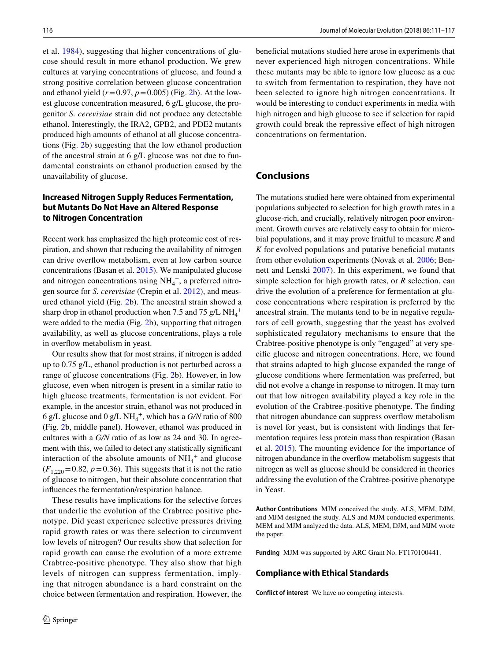et al. [1984\)](#page-6-34), suggesting that higher concentrations of glucose should result in more ethanol production. We grew cultures at varying concentrations of glucose, and found a strong positive correlation between glucose concentration and ethanol yield  $(r=0.97, p=0.005)$  (Fig. [2](#page-4-0)b). At the lowest glucose concentration measured, 6 g/L glucose, the progenitor *S. cerevisiae* strain did not produce any detectable ethanol. Interestingly, the IRA2, GPB2, and PDE2 mutants produced high amounts of ethanol at all glucose concentrations (Fig. [2b](#page-4-0)) suggesting that the low ethanol production of the ancestral strain at 6 g/L glucose was not due to fundamental constraints on ethanol production caused by the unavailability of glucose.

# **Increased Nitrogen Supply Reduces Fermentation, but Mutants Do Not Have an Altered Response to Nitrogen Concentration**

Recent work has emphasized the high proteomic cost of respiration, and shown that reducing the availability of nitrogen can drive overflow metabolism, even at low carbon source concentrations (Basan et al. [2015](#page-6-30)). We manipulated glucose and nitrogen concentrations using  $NH_4^+$ , a preferred nitrogen source for *S. cerevisiae* (Crepin et al. [2012\)](#page-6-35), and measured ethanol yield (Fig. [2b](#page-4-0)). The ancestral strain showed a sharp drop in ethanol production when 7.5 and 75 g/L  $NH_4^+$ were added to the media (Fig. [2b](#page-4-0)), supporting that nitrogen availability, as well as glucose concentrations, plays a role in overflow metabolism in yeast.

Our results show that for most strains, if nitrogen is added up to 0.75 g/L, ethanol production is not perturbed across a range of glucose concentrations (Fig. [2](#page-4-0)b). However, in low glucose, even when nitrogen is present in a similar ratio to high glucose treatments, fermentation is not evident. For example, in the ancestor strain, ethanol was not produced in 6 g/L glucose and 0 g/L NH4 +, which has a *G/N* ratio of 800 (Fig. [2](#page-4-0)b, middle panel). However, ethanol was produced in cultures with a *G/N* ratio of as low as 24 and 30. In agreement with this, we failed to detect any statistically significant interaction of the absolute amounts of  $NH_4^+$  and glucose  $(F_{1,220} = 0.82, p = 0.36)$ . This suggests that it is not the ratio of glucose to nitrogen, but their absolute concentration that influences the fermentation/respiration balance.

These results have implications for the selective forces that underlie the evolution of the Crabtree positive phenotype. Did yeast experience selective pressures driving rapid growth rates or was there selection to circumvent low levels of nitrogen? Our results show that selection for rapid growth can cause the evolution of a more extreme Crabtree-positive phenotype. They also show that high levels of nitrogen can suppress fermentation, implying that nitrogen abundance is a hard constraint on the choice between fermentation and respiration. However, the beneficial mutations studied here arose in experiments that never experienced high nitrogen concentrations. While these mutants may be able to ignore low glucose as a cue to switch from fermentation to respiration, they have not been selected to ignore high nitrogen concentrations. It would be interesting to conduct experiments in media with high nitrogen and high glucose to see if selection for rapid growth could break the repressive effect of high nitrogen concentrations on fermentation.

#### **Conclusions**

The mutations studied here were obtained from experimental populations subjected to selection for high growth rates in a glucose-rich, and crucially, relatively nitrogen poor environment. Growth curves are relatively easy to obtain for microbial populations, and it may prove fruitful to measure *R* and *K* for evolved populations and putative beneficial mutants from other evolution experiments (Novak et al. [2006](#page-6-21); Bennett and Lenski [2007\)](#page-6-22). In this experiment, we found that simple selection for high growth rates, or *R* selection, can drive the evolution of a preference for fermentation at glucose concentrations where respiration is preferred by the ancestral strain. The mutants tend to be in negative regulators of cell growth, suggesting that the yeast has evolved sophisticated regulatory mechanisms to ensure that the Crabtree-positive phenotype is only "engaged" at very specific glucose and nitrogen concentrations. Here, we found that strains adapted to high glucose expanded the range of glucose conditions where fermentation was preferred, but did not evolve a change in response to nitrogen. It may turn out that low nitrogen availability played a key role in the evolution of the Crabtree-positive phenotype. The finding that nitrogen abundance can suppress overflow metabolism is novel for yeast, but is consistent with findings that fermentation requires less protein mass than respiration (Basan et al. [2015](#page-6-30)). The mounting evidence for the importance of nitrogen abundance in the overflow metabolism suggests that nitrogen as well as glucose should be considered in theories addressing the evolution of the Crabtree-positive phenotype in Yeast.

**Author Contributions** MJM conceived the study. ALS, MEM, DJM, and MJM designed the study. ALS and MJM conducted experiments. MEM and MJM analyzed the data. ALS, MEM, DJM, and MJM wrote the paper.

**Funding** MJM was supported by ARC Grant No. FT170100441.

## **Compliance with Ethical Standards**

**Conflict of interest** We have no competing interests.